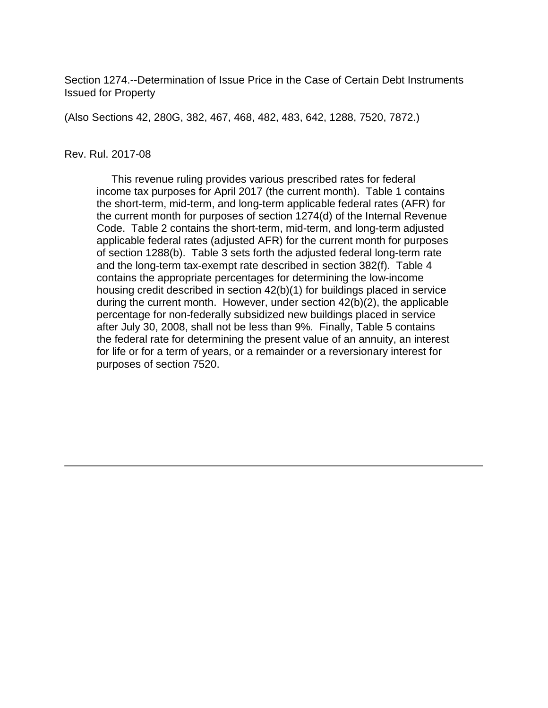Section 1274.--Determination of Issue Price in the Case of Certain Debt Instruments Issued for Property

(Also Sections 42, 280G, 382, 467, 468, 482, 483, 642, 1288, 7520, 7872.)

#### Rev. Rul. 2017-08

 This revenue ruling provides various prescribed rates for federal income tax purposes for April 2017 (the current month). Table 1 contains the short-term, mid-term, and long-term applicable federal rates (AFR) for the current month for purposes of section 1274(d) of the Internal Revenue Code. Table 2 contains the short-term, mid-term, and long-term adjusted applicable federal rates (adjusted AFR) for the current month for purposes of section 1288(b). Table 3 sets forth the adjusted federal long-term rate and the long-term tax-exempt rate described in section 382(f). Table 4 contains the appropriate percentages for determining the low-income housing credit described in section 42(b)(1) for buildings placed in service during the current month. However, under section 42(b)(2), the applicable percentage for non-federally subsidized new buildings placed in service after July 30, 2008, shall not be less than 9%. Finally, Table 5 contains the federal rate for determining the present value of an annuity, an interest for life or for a term of years, or a remainder or a reversionary interest for purposes of section 7520.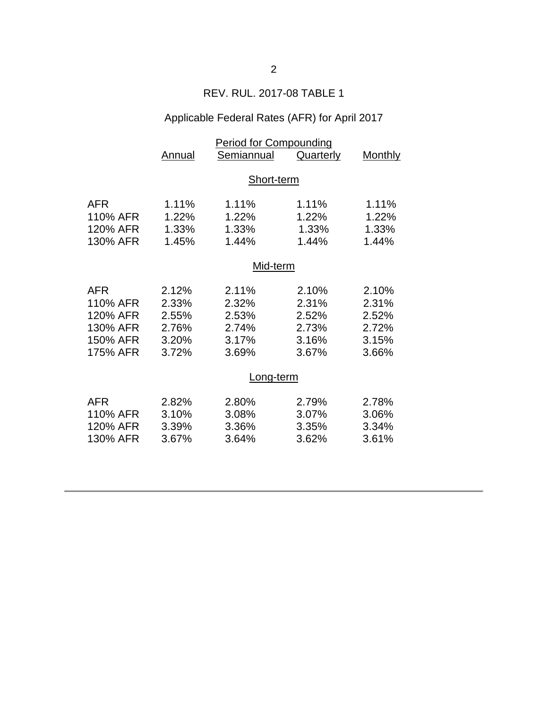## REV. RUL. 2017-08 TABLE 1

# Applicable Federal Rates (AFR) for April 2017

|            | <b>Period for Compounding</b> |            |                  |         |  |
|------------|-------------------------------|------------|------------------|---------|--|
|            | <b>Annual</b>                 | Semiannual | <b>Quarterly</b> | Monthly |  |
|            |                               |            |                  |         |  |
|            | Short-term                    |            |                  |         |  |
| <b>AFR</b> | 1.11%                         | 1.11%      | 1.11%            | 1.11%   |  |
| 110% AFR   | 1.22%                         | 1.22%      | 1.22%            | 1.22%   |  |
| 120% AFR   | 1.33%                         | 1.33%      | 1.33%            | 1.33%   |  |
| 130% AFR   | 1.45%                         | 1.44%      | 1.44%            | 1.44%   |  |
|            |                               |            |                  |         |  |
|            | Mid-term                      |            |                  |         |  |
|            |                               |            |                  |         |  |
| <b>AFR</b> | 2.12%                         | 2.11%      | 2.10%            | 2.10%   |  |
| 110% AFR   | 2.33%                         | 2.32%      | 2.31%            | 2.31%   |  |
| 120% AFR   | 2.55%                         | 2.53%      | 2.52%            | 2.52%   |  |
| 130% AFR   | 2.76%                         | 2.74%      | 2.73%            | 2.72%   |  |
| 150% AFR   | 3.20%                         | 3.17%      | 3.16%            | 3.15%   |  |
| 175% AFR   | 3.72%                         | 3.69%      | 3.67%            | 3.66%   |  |
|            |                               |            |                  |         |  |
|            | Long-term                     |            |                  |         |  |
| <b>AFR</b> | 2.82%                         | 2.80%      | 2.79%            | 2.78%   |  |
| 110% AFR   | 3.10%                         | 3.08%      | 3.07%            | 3.06%   |  |
| 120% AFR   | 3.39%                         | 3.36%      | 3.35%            | 3.34%   |  |
| 130% AFR   | 3.67%                         | 3.64%      | 3.62%            | 3.61%   |  |
|            |                               |            |                  |         |  |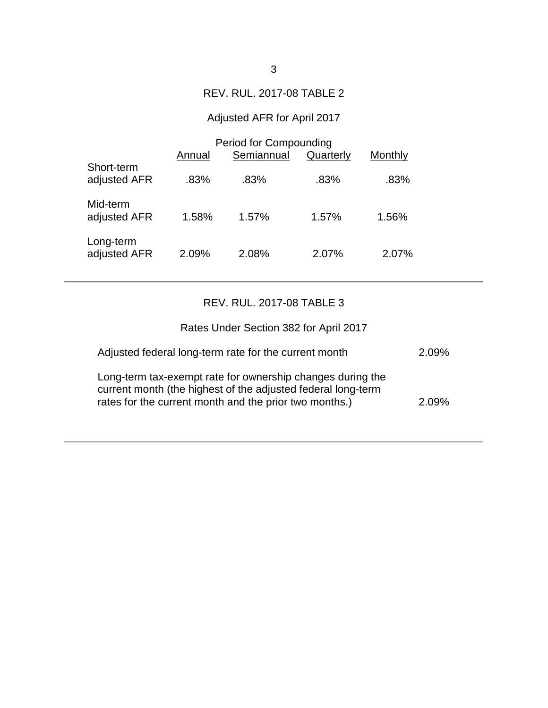### REV. RUL. 2017-08 TABLE 2

# Adjusted AFR for April 2017

|                            | <b>Period for Compounding</b> |            |           |         |  |
|----------------------------|-------------------------------|------------|-----------|---------|--|
|                            | Annual                        | Semiannual | Quarterly | Monthly |  |
| Short-term<br>adjusted AFR | .83%                          | $.83\%$    | .83%      | .83%    |  |
| Mid-term<br>adjusted AFR   | 1.58%                         | 1.57%      | 1.57%     | 1.56%   |  |
| Long-term<br>adjusted AFR  | 2.09%                         | 2.08%      | 2.07%     | 2.07%   |  |

## REV. RUL. 2017-08 TABLE 3

| Rates Under Section 382 for April 2017                                                                                                                                               |       |
|--------------------------------------------------------------------------------------------------------------------------------------------------------------------------------------|-------|
| Adjusted federal long-term rate for the current month                                                                                                                                | 2.09% |
| Long-term tax-exempt rate for ownership changes during the<br>current month (the highest of the adjusted federal long-term<br>rates for the current month and the prior two months.) | 2.09% |